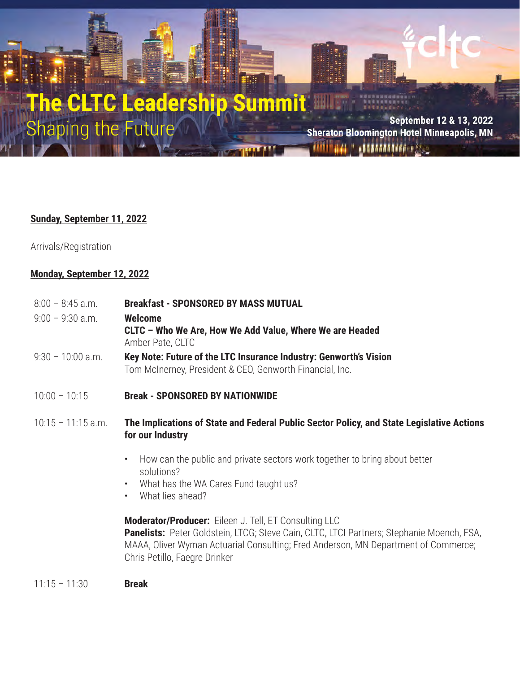## e CLTC Leadership Summit **Shaping the Future**

September 12 & 13, 2022 **Sheraton Bloomington Hotel Minneapolis, MN ARTEFERTATION IN STATE** 

## **Sunday, September 11, 2022**

Arrivals/Registration

## **Monday, September 12, 2022**

- 8:00 8:45 a.m. **Breakfast SPONSORED BY MASS MUTUAL** 9:00 – 9:30 a.m. **Welcome**
- **CLTC Who We Are, How We Add Value, Where We are Headed**  Amber Pate, CLTC
- 9:30 10:00 a.m. **Key Note: Future of the LTC Insurance Industry: Genworth's Vision** Tom McInerney, President & CEO, Genworth Financial, Inc.
- 10:00 10:15 **Break SPONSORED BY NATIONWIDE**
- 10:15 11:15 a.m. **The Implications of State and Federal Public Sector Policy, and State Legislative Actions for our Industry**
	- How can the public and private sectors work together to bring about better solutions?
	- What has the WA Cares Fund taught us?
	- What lies ahead?

**Moderator/Producer:** Eileen J. Tell, ET Consulting LLC **Panelists:** Peter Goldstein, LTCG; Steve Cain, CLTC, LTCI Partners; Stephanie Moench, FSA, MAAA, Oliver Wyman Actuarial Consulting; Fred Anderson, MN Department of Commerce; Chris Petillo, Faegre Drinker

11:15 – 11:30 **Break**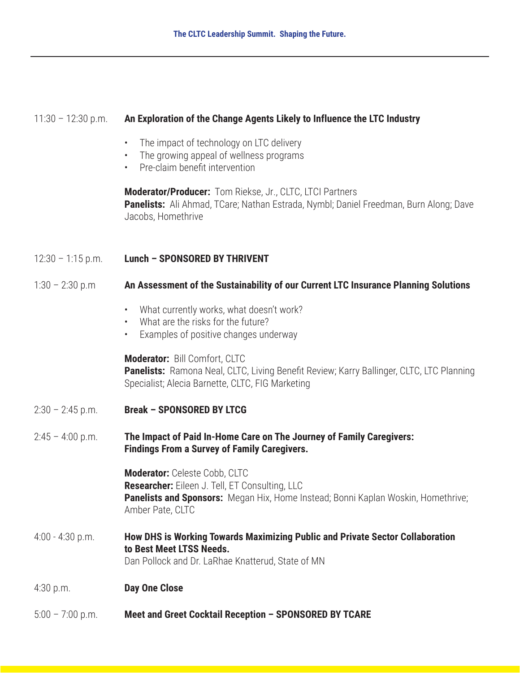| $11:30 - 12:30$ p.m. | An Exploration of the Change Agents Likely to Influence the LTC Industry                                                                                                                        |
|----------------------|-------------------------------------------------------------------------------------------------------------------------------------------------------------------------------------------------|
|                      | The impact of technology on LTC delivery<br>$\bullet$<br>The growing appeal of wellness programs<br>$\bullet$ .<br>Pre-claim benefit intervention<br>$\bullet$ .                                |
|                      | Moderator/Producer: Tom Riekse, Jr., CLTC, LTCI Partners<br>Panelists: Ali Ahmad, TCare; Nathan Estrada, Nymbl; Daniel Freedman, Burn Along; Dave<br>Jacobs, Homethrive                         |
| $12:30 - 1:15$ p.m.  | <b>Lunch - SPONSORED BY THRIVENT</b>                                                                                                                                                            |
| $1:30 - 2:30$ p.m    | An Assessment of the Sustainability of our Current LTC Insurance Planning Solutions                                                                                                             |
|                      | What currently works, what doesn't work?<br>$\bullet$<br>What are the risks for the future?<br>$\bullet$<br>Examples of positive changes underway<br>$\bullet$                                  |
|                      | Moderator: Bill Comfort, CLTC<br>Panelists: Ramona Neal, CLTC, Living Benefit Review; Karry Ballinger, CLTC, LTC Planning<br>Specialist; Alecia Barnette, CLTC, FIG Marketing                   |
| $2:30 - 2:45$ p.m.   | <b>Break - SPONSORED BY LTCG</b>                                                                                                                                                                |
| $2:45 - 4:00$ p.m.   | The Impact of Paid In-Home Care on The Journey of Family Caregivers:<br><b>Findings From a Survey of Family Caregivers.</b>                                                                     |
|                      | Moderator: Celeste Cobb, CLTC<br><b>Researcher:</b> Eileen J. Tell, ET Consulting, LLC<br>Panelists and Sponsors: Megan Hix, Home Instead; Bonni Kaplan Woskin, Homethrive;<br>Amber Pate, CLTC |
| $4:00 - 4:30$ p.m.   | How DHS is Working Towards Maximizing Public and Private Sector Collaboration<br>to Best Meet LTSS Needs.<br>Dan Pollock and Dr. LaRhae Knatterud, State of MN                                  |
| 4:30 p.m.            | <b>Day One Close</b>                                                                                                                                                                            |
| $5:00 - 7:00$ p.m.   | Meet and Greet Cocktail Reception - SPONSORED BY TCARE                                                                                                                                          |